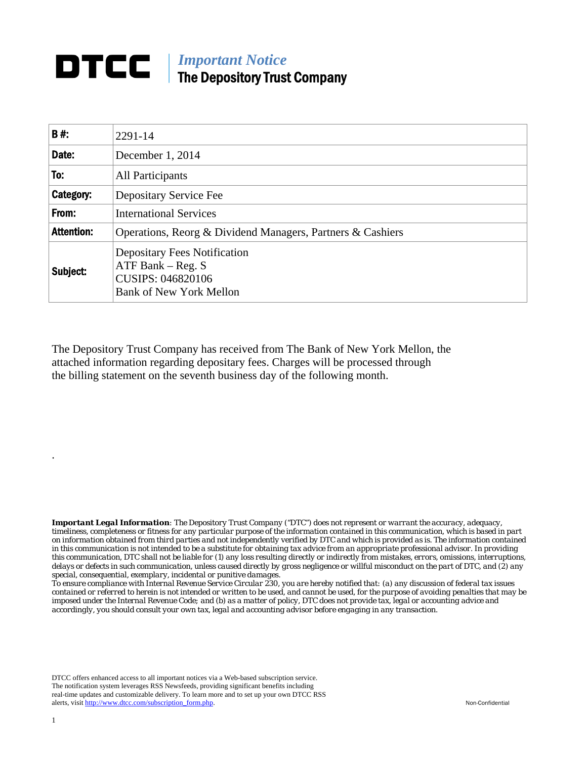## *Important Notice*  The Depository Trust Company

| B#:               | 2291-14                                                                                                           |
|-------------------|-------------------------------------------------------------------------------------------------------------------|
| Date:             | December 1, 2014                                                                                                  |
| To:               | All Participants                                                                                                  |
| <b>Category:</b>  | Depositary Service Fee                                                                                            |
| From:             | <b>International Services</b>                                                                                     |
| <b>Attention:</b> | Operations, Reorg & Dividend Managers, Partners & Cashiers                                                        |
| Subject:          | <b>Depositary Fees Notification</b><br>ATF Bank $-$ Reg. S<br>CUSIPS: 046820106<br><b>Bank of New York Mellon</b> |

The Depository Trust Company has received from The Bank of New York Mellon, the attached information regarding depositary fees. Charges will be processed through the billing statement on the seventh business day of the following month.

*Important Legal Information: The Depository Trust Company ("DTC") does not represent or warrant the accuracy, adequacy, timeliness, completeness or fitness for any particular purpose of the information contained in this communication, which is based in part on information obtained from third parties and not independently verified by DTC and which is provided as is. The information contained in this communication is not intended to be a substitute for obtaining tax advice from an appropriate professional advisor. In providing this communication, DTC shall not be liable for (1) any loss resulting directly or indirectly from mistakes, errors, omissions, interruptions, delays or defects in such communication, unless caused directly by gross negligence or willful misconduct on the part of DTC, and (2) any special, consequential, exemplary, incidental or punitive damages.* 

*To ensure compliance with Internal Revenue Service Circular 230, you are hereby notified that: (a) any discussion of federal tax issues contained or referred to herein is not intended or written to be used, and cannot be used, for the purpose of avoiding penalties that may be imposed under the Internal Revenue Code; and (b) as a matter of policy, DTC does not provide tax, legal or accounting advice and accordingly, you should consult your own tax, legal and accounting advisor before engaging in any transaction.*

DTCC offers enhanced access to all important notices via a Web-based subscription service. The notification system leverages RSS Newsfeeds, providing significant benefits including real-time updates and customizable delivery. To learn more and to set up your own DTCC RSS alerts, visit http://www.dtcc.com/subscription\_form.php. Non-Confidential

.